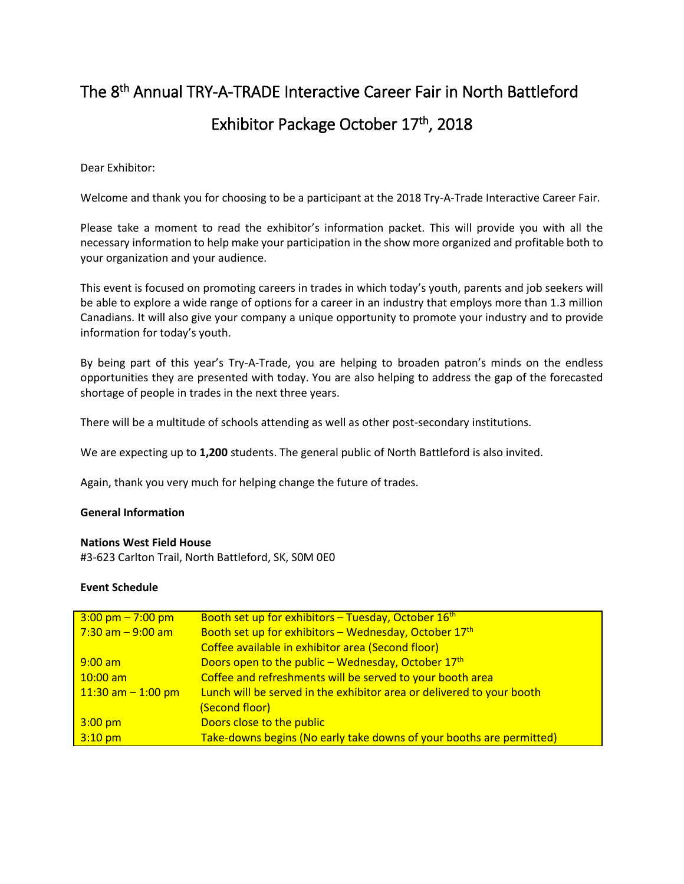# The 8<sup>th</sup> Annual TRY-A-TRADE Interactive Career Fair in North Battleford Exhibitor Package October 17th, 2018

#### Dear Exhibitor:

Welcome and thank you for choosing to be a participant at the 2018 Try-A-Trade Interactive Career Fair.

Please take a moment to read the exhibitor's information packet. This will provide you with all the necessary information to help make your participation in the show more organized and profitable both to your organization and your audience.

This event is focused on promoting careers in trades in which today's youth, parents and job seekers will be able to explore a wide range of options for a career in an industry that employs more than 1.3 million Canadians. It will also give your company a unique opportunity to promote your industry and to provide information for today's youth.

By being part of this year's Try-A-Trade, you are helping to broaden patron's minds on the endless opportunities they are presented with today. You are also helping to address the gap of the forecasted shortage of people in trades in the next three years.

There will be a multitude of schools attending as well as other post-secondary institutions.

We are expecting up to **1,200** students. The general public of North Battleford is also invited.

Again, thank you very much for helping change the future of trades.

#### **General Information**

#### **Nations West Field House**

#3-623 Carlton Trail, North Battleford, SK, S0M 0E0

#### **Event Schedule**

| $3:00 \text{ pm} - 7:00 \text{ pm}$ | Booth set up for exhibitors - Tuesday, October 16 <sup>th</sup>       |
|-------------------------------------|-----------------------------------------------------------------------|
| $7:30$ am $-9:00$ am                | Booth set up for exhibitors - Wednesday, October 17th                 |
|                                     | Coffee available in exhibitor area (Second floor)                     |
| $9:00$ am                           | Doors open to the public - Wednesday, October 17th                    |
| $10:00$ am                          | Coffee and refreshments will be served to your booth area             |
| $11:30$ am $-1:00$ pm               | Lunch will be served in the exhibitor area or delivered to your booth |
|                                     | (Second floor)                                                        |
| $3:00$ pm                           | Doors close to the public                                             |
| $3:10$ pm                           | Take-downs begins (No early take downs of your booths are permitted)  |
|                                     |                                                                       |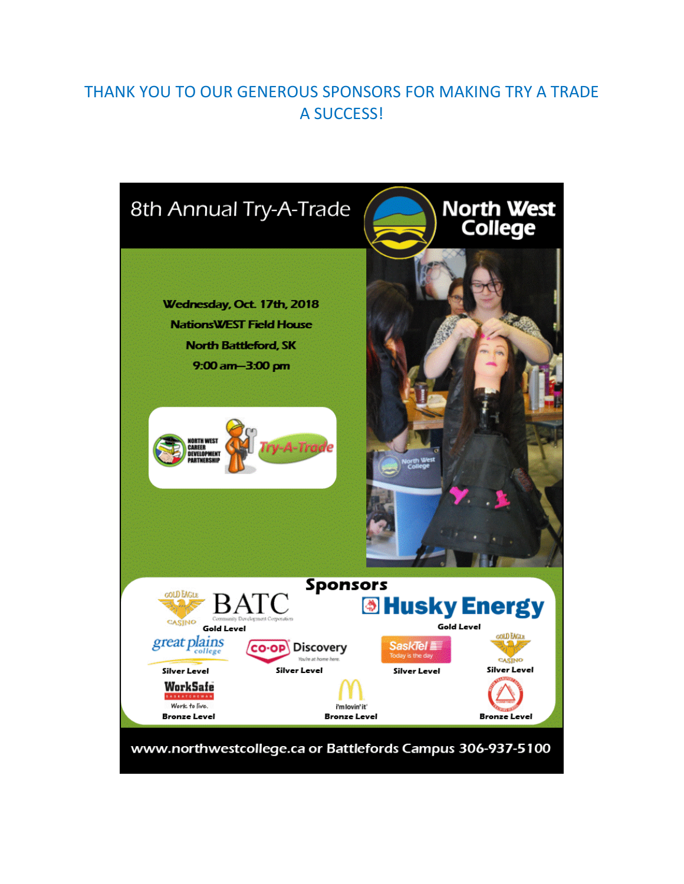# THANK YOU TO OUR GENEROUS SPONSORS FOR MAKING TRY A TRADE A SUCCESS!

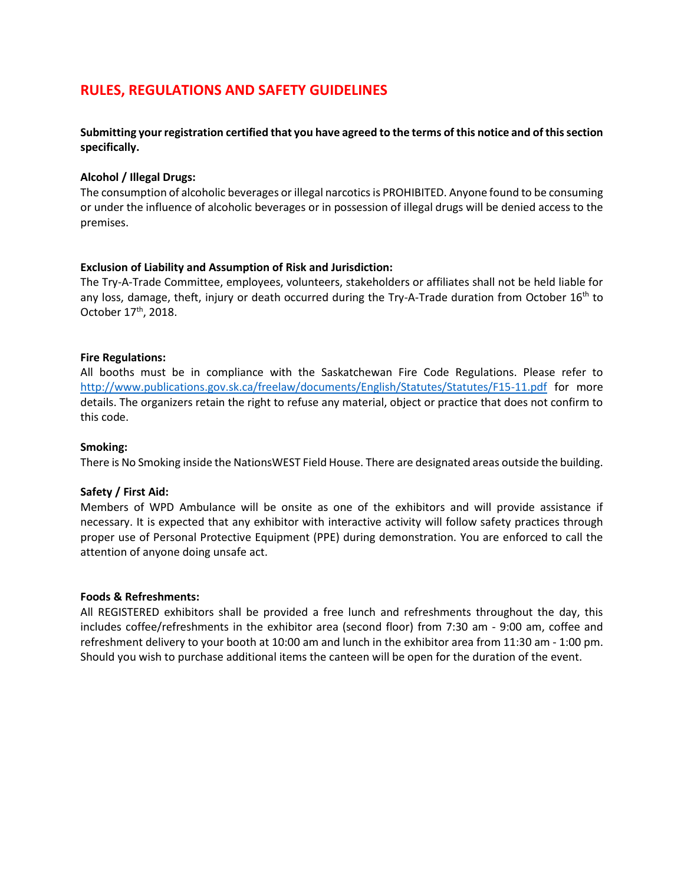## **RULES, REGULATIONS AND SAFETY GUIDELINES**

#### **Submitting your registration certified that you have agreed to the terms of this notice and of this section specifically.**

#### **Alcohol / Illegal Drugs:**

The consumption of alcoholic beverages or illegal narcotics is PROHIBITED. Anyone found to be consuming or under the influence of alcoholic beverages or in possession of illegal drugs will be denied access to the premises.

#### **Exclusion of Liability and Assumption of Risk and Jurisdiction:**

The Try-A-Trade Committee, employees, volunteers, stakeholders or affiliates shall not be held liable for any loss, damage, theft, injury or death occurred during the Try-A-Trade duration from October 16<sup>th</sup> to October 17<sup>th</sup>, 2018.

#### **Fire Regulations:**

All booths must be in compliance with the Saskatchewan Fire Code Regulations. Please refer to <http://www.publications.gov.sk.ca/freelaw/documents/English/Statutes/Statutes/F15-11.pdf> for more details. The organizers retain the right to refuse any material, object or practice that does not confirm to this code.

#### **Smoking:**

There is No Smoking inside the NationsWEST Field House. There are designated areas outside the building.

#### **Safety / First Aid:**

Members of WPD Ambulance will be onsite as one of the exhibitors and will provide assistance if necessary. It is expected that any exhibitor with interactive activity will follow safety practices through proper use of Personal Protective Equipment (PPE) during demonstration. You are enforced to call the attention of anyone doing unsafe act.

#### **Foods & Refreshments:**

All REGISTERED exhibitors shall be provided a free lunch and refreshments throughout the day, this includes coffee/refreshments in the exhibitor area (second floor) from 7:30 am - 9:00 am, coffee and refreshment delivery to your booth at 10:00 am and lunch in the exhibitor area from 11:30 am - 1:00 pm. Should you wish to purchase additional items the canteen will be open for the duration of the event.